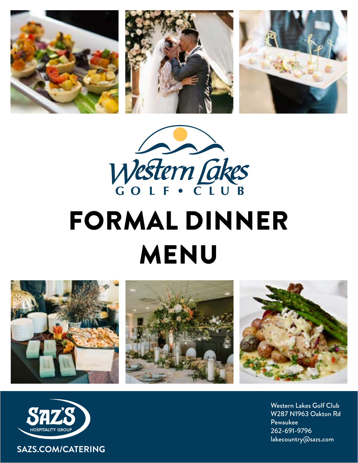



# FORMAL DINNER MENU







Western Lakes Golf Club W287 N1963 Oakton Rd Pewaukee 262-691-9796 lakecountry@sazs.com

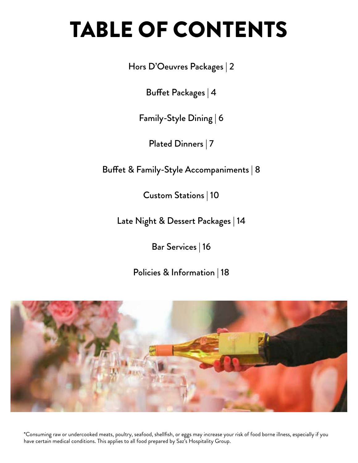# TABLE OF CONTENTS

Hors D'Oeuvres Packages | 2

Buffet Packages | 4

Family-Style Dining | 6

Plated Dinners | 7

Buffet & Family-Style Accompaniments | 8

Custom Stations | 10

Late Night & Dessert Packages | 14

Bar Services | 16

Policies & Information | 18

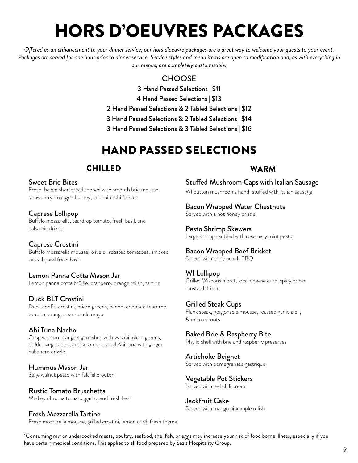# HORS D'OEUVRES PACKAGES

*Offered as an enhancement to your dinner service, our hors d'oeuvre packages are a great way to welcome your guests to your event. Packages are served for one hour prior to dinner service. Service styles and menu items are open to modification and, as with everything in our menus, are completely customizable.*

## **CHOOSE**

3 Hand Passed Selections | \$11

4 Hand Passed Selections | \$13

2 Hand Passed Selections & 2 Tabled Selections | \$12

3 Hand Passed Selections & 2 Tabled Selections | \$14

3 Hand Passed Selections & 3 Tabled Selections | \$16

## HAND PASSED SELECTIONS

## **CHILLED**

## Sweet Brie Bites

Fresh-baked shortbread topped with smooth brie mousse, strawberry-mango chutney, and mint chiffonade

## Caprese Lollipop

Buffalo mozzarella, teardrop tomato, fresh basil, and balsamic drizzle

## Caprese Crostini

Buffalo mozzarella mousse, olive oil roasted tomatoes, smoked sea salt, and fresh basil

## Lemon Panna Cotta Mason Jar

Lemon panna cotta brûlée, cranberry orange relish, tartine

## Duck BLT Crostini

Duck confit, crostini, micro greens, bacon, chopped teardrop tomato, orange marmalade mayo

## Ahi Tuna Nacho

Crisp wonton triangles garnished with wasabi micro greens, pickled vegetables, and sesame-seared Ahi tuna with ginger habanero drizzle

Hummus Mason Jar Sage walnut pesto with falafel crouton

Rustic Tomato Bruschetta Medley of roma tomato, garlic, and fresh basil

Fresh Mozzarella Tartine Fresh mozzarella mousse, grilled crostini, lemon curd, fresh thyme

## **WARM**

## Stuffed Mushroom Caps with Italian Sausage

WI button mushrooms hand-stuffed with Italian sausage

## Bacon Wrapped Water Chestnuts

Served with a hot honey drizzle

Pesto Shrimp Skewers Large shrimp sautéed with rosemary mint pesto

## Bacon Wrapped Beef Brisket

Served with spicy peach BBQ

## WI Lollipop

Grilled Wisconsin brat, local cheese curd, spicy brown mustard drizzle

#### Grilled Steak Cups Flank steak, gorgonzola mousse, roasted garlic aioli, & micro shoots

## Baked Brie & Raspberry Bite

Phyllo shell with brie and raspberry preserves

Artichoke Beignet Served with pomegranate gastrique

#### Vegetable Pot Stickers Served with red chili cream

Jackfruit Cake Served with mango pineapple relish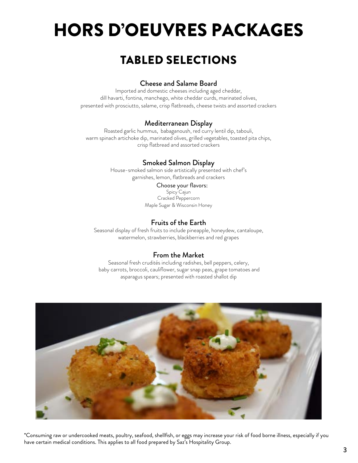## HORS D'OEUVRES PACKAGES

## TABLED SELECTIONS

### Cheese and Salame Board

Imported and domestic cheeses including aged cheddar, dill havarti, fontina, manchego, white cheddar curds, marinated olives, presented with prosciutto, salame, crisp flatbreads, cheese twists and assorted crackers

#### Mediterranean Display

Roasted garlic hummus, babaganoush, red curry lentil dip, tabouli, warm spinach artichoke dip, marinated olives, grilled vegetables, toasted pita chips, crisp flatbread and assorted crackers

### Smoked Salmon Display

House-smoked salmon side artistically presented with chef's garnishes, lemon, flatbreads and crackers

> Choose your flavors: Spicy Cajun Cracked Peppercorn Maple Sugar & Wisconsin Honey

#### Fruits of the Earth

Seasonal display of fresh fruits to include pineapple, honeydew, cantaloupe, watermelon, strawberries, blackberries and red grapes

### From the Market

Seasonal fresh crudités including radishes, bell peppers, celery, baby carrots, broccoli, cauliflower, sugar snap peas, grape tomatoes and asparagus spears; presented with roasted shallot dip

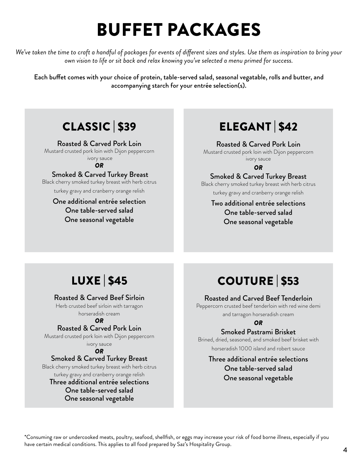# BUFFET PACKAGES

*We've taken the time to craft a handful of packages for events of different sizes and styles. Use them as inspiration to bring your own vision to life or sit back and relax knowing you've selected a menu primed for success.*

Each buffet comes with your choice of protein, table-served salad, seasonal vegatable, rolls and butter, and accompanying starch for your entrée selection(s).

## CLASSIC | \$39

Roasted & Carved Pork Loin

Mustard crusted pork loin with Dijon peppercorn ivory sauce *OR*

 Smoked & Carved Turkey Breast Black cherry smoked turkey breast with herb citrus turkey gravy and cranberry orange relish

One additional entrée selection One table-served salad One seasonal vegetable

## ELEGANT | \$42

Roasted & Carved Pork Loin

Mustard crusted pork loin with Dijon peppercorn ivory sauce

*OR* 

Smoked & Carved Turkey Breast

Black cherry smoked turkey breast with herb citrus turkey gravy and cranberry orange relish

Two additional entrée selections One table-served salad One seasonal vegetable

## LUXE | \$45

## Roasted & Carved Beef Sirloin

Herb crusted beef sirloin with tarragon horseradish cream

### *OR*

### Roasted & Carved Pork Loin

Mustard crusted pork loin with Dijon peppercorn ivory sauce

*OR*

## Smoked & Carved Turkey Breast

Black cherry smoked turkey breast with herb citrus turkey gravy and cranberry orange relish

Three additional entrée selections One table-served salad One seasonal vegetable

## COUTURE | \$53

## Roasted and Carved Beef Tenderloin

Peppercorn crusted beef tenderloin with red wine demi and tarragon horseradish cream

*OR*

## Smoked Pastrami Brisket

Brined, dried, seasoned, and smoked beef brisket with horseradish 1000 island and robert sauce

Three additional entrée selections One table-served salad One seasonal vegetable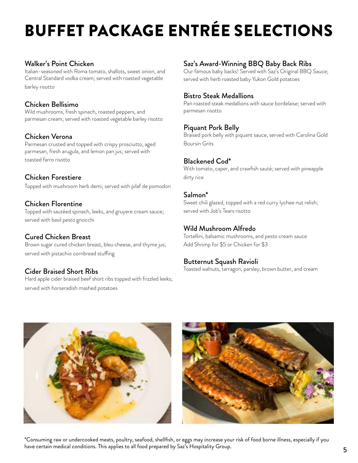# BUFFET PACKAGE ENTRÉE SELECTIONS

## Walker's Point Chicken

Italian-seasoned with Roma tomato, shallots, sweet onion, and Central Standard vodka cream; served with roasted vegetable barley risotto

## Chicken Bellisimo

Wild mushrooms, fresh spinach, roasted peppers, and parmesan cream; served with roasted vegetable barley risotto

## Chicken Verona

Parmesan crusted and topped with crispy prosciutto, aged parmesan, fresh arugula, and lemon pan jus; served with toasted farro risotto

## Chicken Forestiere

Topped with mushroom herb demi; served with pilaf de pomodori

## Chicken Florentine

Topped with sautéed spinach, leeks, and gruyere cream sauce; served with basil pesto gnocchi

## Cured Chicken Breast

Brown sugar cured chicken breast, bleu cheese, and thyme jus; served with pistachio cornbread stuffing

## Cider Braised Short Ribs

Hard apple cider braised beef short ribs topped with frizzled leeks; served with horseradish mashed potatoes

## Saz's Award-Winning BBQ Baby Back Ribs

Our famous baby backs! Served with Saz's Original BBQ Sauce; served with herb roasted baby Yukon Gold potatoes

### Bistro Steak Medallions

Pan roasted steak medallions with sauce bordelaise; served with parmesan risotto

## Piquant Pork Belly

Braised pork belly with piquant sauce, served with Carolina Gold Boursin Grits

## Blackened Cod\*

With tomato, caper, and crawfish sauté; served with pineapple dirty rice

#### Salmon\*

Sweet chili glazed, topped with a red curry lychee nut relish; served with Job's Tears risotto

### Wild Mushroom Alfredo

Tortellini, balsamic mushrooms, and pesto cream sauce Add Shrimp for \$5 or Chicken for \$3

### Butternut Squash Ravioli

Toasted walnuts, tarragon, parsley, brown butter, and cream



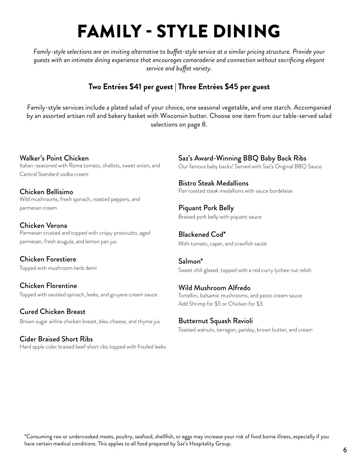# FAMILY - STYLE DINING

*Family-style selections are an inviting alternative to buffet-style service at a similar pricing structure. Provide your guests with an intimate dining experience that encourages camaraderie and connection without sacrificing elegant service and buffet variety.*

## **Two Entrées \$41 per guest | Three Entrées \$45 per guest**

Family-style services include a plated salad of your choice, one seasonal vegetable, and one starch. Accompanied by an assorted artisan roll and bakery basket with Wisconsin butter. Choose one item from our table-served salad selections on page 8.

Walker's Point Chicken Italian-seasoned with Roma tomato, shallots, sweet onion, and Central Standard vodka cream

Chicken Bellisimo Wild mushrooms, fresh spinach, roasted peppers, and parmesan cream

Chicken Verona Parmesan crusted and topped with crispy prosciutto, aged parmesan, fresh arugula, and lemon pan jus

Chicken Forestiere Topped with mushroom herb demi

Chicken Florentine Topped with sautéed spinach, leeks, and gruyere cream sauce

Cured Chicken Breast Brown sugar airline chicken breast, bleu cheese, and thyme jus

Cider Braised Short Ribs Hard apple cider braised beef short ribs topped with frizzled leeks Saz's Award-Winning BBQ Baby Back Ribs Our famous baby backs! Served with Saz's Original BBQ Sauce

Bistro Steak Medallions Pan roasted steak medallions with sauce bordelaise

Piquant Pork Belly Braised pork belly with piquant sauce

Blackened Cod\* With tomato, caper, and crawfish sauté

Salmon\* Sweet chili glazed, topped with a red curry lychee nut relish

Wild Mushroom Alfredo Tortellini, balsamic mushrooms, and pesto cream sauce Add Shrimp for \$5 or Chicken for \$3

Butternut Squash Ravioli Toasted walnuts, tarragon, parsley, brown butter, and cream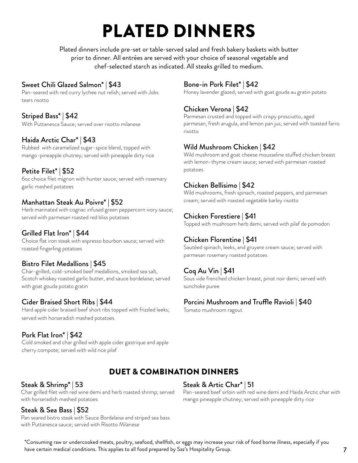# PLATED DINNERS

Plated dinners include pre-set or table-served salad and fresh bakery baskets with butter prior to dinner. All entrées are served with your choice of seasonal vegetable and chef-selected starch as indicated. All steaks grilled to medium.

## Sweet Chili Glazed Salmon\* | \$43

Pan-seared with red curry lychee nut relish; served with Jobs tears risotto

## Striped Bass\* | \$42

With Puttanesca Sauce; served over risotto milanese

## Haida Arctic Char\* | \$43

Rubbed with caramelized sugar-spice blend, topped with mango-pineapple chutney; served with pineapple dirty rice

## Petite Filet\* | \$52

6oz choice filet mignon with hunter sauce; served with rosemary garlic mashed potatoes

## Manhattan Steak Au Poivre\* | \$52

Herb marinated with cognac infused green peppercorn ivory sauce; served with parmesan roasted red bliss potatoes

## Grilled Flat Iron\* | \$44

Choice flat iron steak with espresso bourbon sauce; served with roasted fingerling potatoes

## Bistro Filet Medallions | \$45

Char-grilled, cold-smoked beef medallions, smoked sea salt, Scotch whiskey roasted garlic butter, and sauce bordelaise; served with goat gouda potato gratin

## Cider Braised Short Ribs | \$44

Hard apple cider braised beef short ribs topped with frizzled leeks; served with horseradish mashed potatoes

## Pork Flat Iron\* | \$42

Cold smoked and char grilled with apple cider gastrique and apple cherry compote; served with wild rice pilaf

## Bone-in Pork Filet\* | \$42

Honey lavender glazed; served with goat gouda au gratin potato

## Chicken Verona | \$42

Parmesan crusted and topped with crispy prosciutto, aged parmesan, fresh arugula, and lemon pan jus; served with toasted farro risotto

## Wild Mushroom Chicken | \$42

Wild mushroom and goat cheese mousseline stuffed chicken breast with lemon-thyme cream sauce; served with parmesan roasted potatoes

## Chicken Bellisimo | \$42

Wild mushrooms, fresh spinach, roasted peppers, and parmesan cream; served with roasted vegetable barley risotto

## Chicken Forestiere | \$41

Topped with mushroom herb demi; served with pilaf de pomodori

## Chicken Florentine | \$41

Sautéed spinach, leeks, and gruyere cream sauce; served with parmesan rosemary roasted potatoes

## Coq Au Vin | \$41

Sous vide frenched chicken breast, pinot noir demi; served with sunchoke puree

## Porcini Mushroom and Truffle Ravioli | \$40

Tomato mushroom ragout

## DUET & COMBINATION DINNERS

## Steak & Shrimp\* | 53

Char grilled filet with red wine demi and herb roasted shrimp; served with horseradish mashed potatoes

## Steak & Sea Bass | \$52

Pan seared bistro steak with Sauce Bordelaise and striped sea bass with Puttanesca sauce; served with Risotto Milanese

## Steak & Artic Char\* | 51

Pan-seared beef sirloin with red wine demi and Haida Arctic char with mango pineapple chutney; served with pineapple dirty rice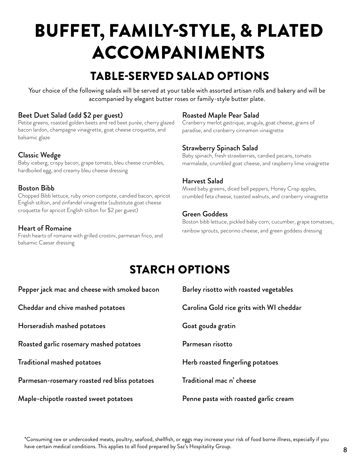## BUFFET, FAMILY-STYLE, & PLATED ACCOMPANIMENTS

## TABLE-SERVED SALAD OPTIONS

Your choice of the following salads will be served at your table with assorted artisan rolls and bakery and will be accompanied by elegant butter roses or family-style butter plate.

## Beet Duet Salad (add \$2 per guest)

Petite greens, roasted golden beets and red beet purée, cherry glazed bacon lardon, champagne vinaigrette, goat cheese croquette, and balsamic glaze

### Classic Wedge

Baby iceberg, crispy bacon, grape tomato, bleu cheese crumbles, hardboiled egg, and creamy bleu cheese dressing

### Boston Bibb

Chopped Bibb lettuce, ruby onion compote, candied bacon, apricot English stilton, and zinfandel vinaigrette (substitute goat cheese croquette for apricot English stilton for \$2 per guest)

## Heart of Romaine

Fresh hearts of romaine with grilled crostini, parmesan frico, and balsamic Caesar dressing

## Roasted Maple Pear Salad

Cranberry merlot gastrique, arugula, goat cheese, grains of paradise, and cranberry cinnamon vinaigrette

## Strawberry Spinach Salad

Baby spinach, fresh strawberries, candied pecans, tomato marmalade, crumbled goat cheese, and raspberry lime vinaigrette

### Harvest Salad

Mixed baby greens, diced bell peppers, Honey Crisp apples, crumbled feta cheese, toasted walnuts, and cranberry vinaigrette

### Green Goddess

Boston bibb lettuce, pickled baby corn, cucumber, grape tomatoes, rainbow sprouts, pecorino cheese, and green goddess dressing

## STARCH OPTIONS

| Pepper jack mac and cheese with smoked bacon | Barley risotto with roasted vegetables   |
|----------------------------------------------|------------------------------------------|
| Cheddar and chive mashed potatoes            | Carolina Gold rice grits with WI cheddar |
| Horseradish mashed potatoes                  | Goat gouda gratin                        |
| Roasted garlic rosemary mashed potatoes      | Parmesan risotto                         |
| Traditional mashed potatoes                  | Herb roasted fingerling potatoes         |
| Parmesan-rosemary roasted red bliss potatoes | Traditional mac n' cheese                |
| Maple-chipotle roasted sweet potatoes        | Penne pasta with roasted garlic cream    |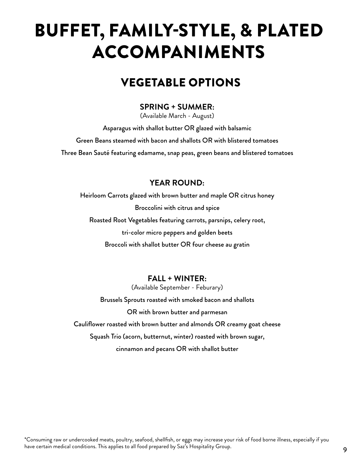## BUFFET, FAMILY-STYLE, & PLATED ACCOMPANIMENTS

## VEGETABLE OPTIONS

## **SPRING + SUMMER:**

(Available March - August)

Asparagus with shallot butter OR glazed with balsamic

Green Beans steamed with bacon and shallots OR with blistered tomatoes

Three Bean Sauté featuring edamame, snap peas, green beans and blistered tomatoes

## **YEAR ROUND:**

Heirloom Carrots glazed with brown butter and maple OR citrus honey Broccolini with citrus and spice Roasted Root Vegetables featuring carrots, parsnips, celery root, tri-color micro peppers and golden beets Broccoli with shallot butter OR four cheese au gratin

## **FALL + WINTER:**

(Available September - Feburary) Brussels Sprouts roasted with smoked bacon and shallots OR with brown butter and parmesan Cauliflower roasted with brown butter and almonds OR creamy goat cheese Squash Trio (acorn, butternut, winter) roasted with brown sugar, cinnamon and pecans OR with shallot butter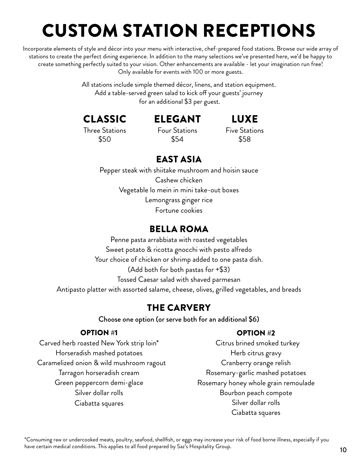Incorporate elements of style and décor into your menu with interactive, chef-prepared food stations. Browse our wide array of stations to create the perfect dining experience. In addition to the many selections we've presented here, we'd be happy to create something perfectly suited to your vision. Other enhancements are available - let your imagination run free! Only available for events with 100 or more guests.

> All stations include simple themed décor, linens, and station equipment. Add a table-served green salad to kick off your guests' journey for an additional \$3 per guest.

## CLASSIC ELEGANT LUXE

Three Stations \$50

Four Stations \$54

Five Stations \$58

## EAST ASIA

Pepper steak with shiitake mushroom and hoisin sauce Cashew chicken Vegetable lo mein in mini take-out boxes Lemongrass ginger rice Fortune cookies

## BELLA ROMA

Penne pasta arrabbiata with roasted vegetables Sweet potato & ricotta gnocchi with pesto alfredo Your choice of chicken or shrimp added to one pasta dish. (Add both for both pastas for +\$3) Tossed Caesar salad with shaved parmesan Antipasto platter with assorted salame, cheese, olives, grilled vegetables, and breads

## THE CARVERY

## Choose one option (or serve both for an additional \$6)

## OPTION #1

Carved herb roasted New York strip loin\* Horseradish mashed potatoes Caramelized onion & wild mushroom ragout Tarragon horseradish cream Green peppercorn demi-glace Silver dollar rolls Ciabatta squares

## OPTION #2

 Citrus brined smoked turkey Herb citrus gravy Cranberry orange relish Rosemary-garlic mashed potatoes Rosemary honey whole grain remoulade Bourbon peach compote Silver dollar rolls Ciabatta squares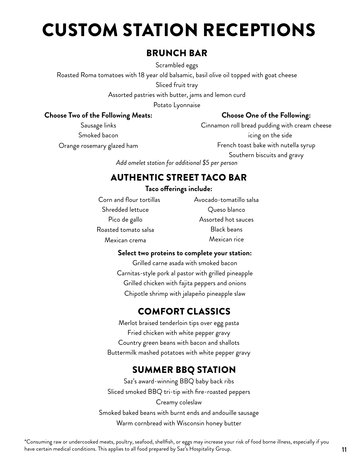## BRUNCH BAR

Scrambled eggs

Roasted Roma tomatoes with 18 year old balsamic, basil olive oil topped with goat cheese

Sliced fruit tray

Assorted pastries with butter, jams and lemon curd

Potato Lyonnaise

#### **Choose Two of the Following Meats:**

Sausage links Smoked bacon

Orange rosemary glazed ham

#### **Choose One of the Following:**

Cinnamon roll bread pudding with cream cheese icing on the side French toast bake with nutella syrup Southern biscuits and gravy

*Add omelet station for additional \$5 per person*

## AUTHENTIC STREET TACO BAR

#### **Taco offerings include:**

 Corn and flour tortillas Shredded lettuce Pico de gallo Roasted tomato salsa Mexican crema

Avocado-tomatillo salsa Queso blanco Assorted hot sauces Black beans Mexican rice

#### **Select two proteins to complete your station:**

Grilled carne asada with smoked bacon Carnitas-style pork al pastor with grilled pineapple Grilled chicken with fajita peppers and onions Chipotle shrimp with jalapeño pineapple slaw

## COMFORT CLASSICS

Merlot braised tenderloin tips over egg pasta Fried chicken with white pepper gravy Country green beans with bacon and shallots Buttermilk mashed potatoes with white pepper gravy

## SUMMER BBQ STATION

Saz's award-winning BBQ baby back ribs Sliced smoked BBQ tri-tip with fire-roasted peppers Creamy coleslaw Smoked baked beans with burnt ends and andouille sausage Warm cornbread with Wisconsin honey butter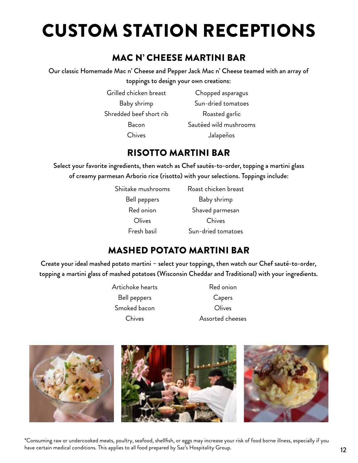## MAC N' CHEESE MARTINI BAR

Our classic Homemade Mac n' Cheese and Pepper Jack Mac n' Cheese teamed with an array of toppings to design your own creations:

> Grilled chicken breast Baby shrimp Shredded beef short rib Bacon Chives

Chopped asparagus Sun-dried tomatoes Roasted garlic Sautéed wild mushrooms Jalapeños

## RISOTTO MARTINI BAR

Select your favorite ingredients, then watch as Chef sautés-to-order, topping a martini glass of creamy parmesan Arborio rice (risotto) with your selections. Toppings include:

> Shiitake mushrooms Bell peppers Red onion Olives Fresh basil

Roast chicken breast Baby shrimp Shaved parmesan Chives Sun-dried tomatoes

## MASHED POTATO MARTINI BAR

Create your ideal mashed potato martini – select your toppings, then watch our Chef sauté-to-order, topping a martini glass of mashed potatoes (Wisconsin Cheddar and Traditional) with your ingredients.

> Artichoke hearts Bell peppers Smoked bacon **Chives**

Red onion Capers **Olives** Assorted cheeses

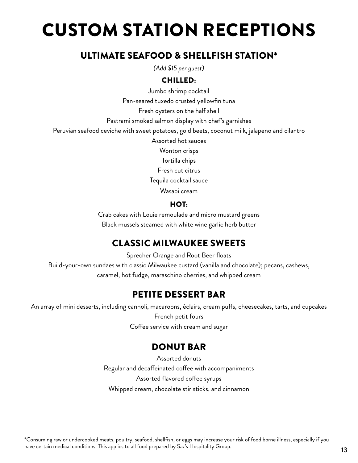## ULTIMATE SEAFOOD & SHELLFISH STATION\*

*(Add \$15 per guest)*

### CHILLED:

Jumbo shrimp cocktail

Pan-seared tuxedo crusted yellowfin tuna

Fresh oysters on the half shell

Pastrami smoked salmon display with chef's garnishes

Peruvian seafood ceviche with sweet potatoes, gold beets, coconut milk, jalapeno and cilantro

Assorted hot sauces Wonton crisps Tortilla chips Fresh cut citrus Tequila cocktail sauce Wasabi cream

## HOT:

Crab cakes with Louie remoulade and micro mustard greens Black mussels steamed with white wine garlic herb butter

## CLASSIC MILWAUKEE SWEETS

Sprecher Orange and Root Beer floats Build-your-own sundaes with classic Milwaukee custard (vanilla and chocolate); pecans, cashews, caramel, hot fudge, maraschino cherries, and whipped cream

## PETITE DESSERT BAR

An array of mini desserts, including cannoli, macaroons, éclairs, cream puffs, cheesecakes, tarts, and cupcakes French petit fours Coffee service with cream and sugar

## DONUT BAR

Assorted donuts Regular and decaffeinated coffee with accompaniments Assorted flavored coffee syrups Whipped cream, chocolate stir sticks, and cinnamon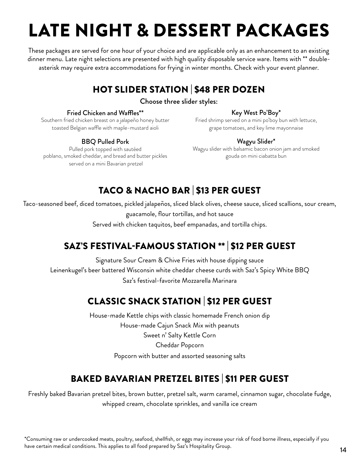# LATE NIGHT & DESSERT PACKAGES

These packages are served for one hour of your choice and are applicable only as an enhancement to an existing dinner menu. Late night selections are presented with high quality disposable service ware. Items with \*\* doubleasterisk may require extra accommodations for frying in winter months. Check with your event planner.

## HOT SLIDER STATION | \$48 PER DOZEN

Choose three slider styles:

#### Fried Chicken and Waffles\*\*

Southern fried chicken breast on a jalapeño honey butter toasted Belgian waffle with maple-mustard aioli

### BBQ Pulled Pork

Pulled pork topped with sautéed poblano, smoked cheddar, and bread and butter pickles served on a mini Bavarian pretzel

Key West Po'Boy\*

Fried shrimp served on a mini po'boy bun with lettuce, grape tomatoes, and key lime mayonnaise

#### Wagyu Slider\*

Wagyu slider with balsamic bacon onion jam and smoked gouda on mini ciabatta bun

## TACO & NACHO BAR | \$13 PER GUEST

Taco-seasoned beef, diced tomatoes, pickled jalapeños, sliced black olives, cheese sauce, sliced scallions, sour cream,

guacamole, flour tortillas, and hot sauce

Served with chicken taquitos, beef empanadas, and tortilla chips.

## SAZ'S FESTIVAL-FAMOUS STATION \*\* | \$12 PER GUEST

Signature Sour Cream & Chive Fries with house dipping sauce Leinenkugel's beer battered Wisconsin white cheddar cheese curds with Saz's Spicy White BBQ Saz's festival-favorite Mozzarella Marinara

## CLASSIC SNACK STATION | \$12 PER GUEST

House-made Kettle chips with classic homemade French onion dip House-made Cajun Snack Mix with peanuts Sweet n' Salty Kettle Corn Cheddar Popcorn

Popcorn with butter and assorted seasoning salts

## BAKED BAVARIAN PRETZEL BITES | \$11 PER GUEST

Freshly baked Bavarian pretzel bites, brown butter, pretzel salt, warm caramel, cinnamon sugar, chocolate fudge, whipped cream, chocolate sprinkles, and vanilla ice cream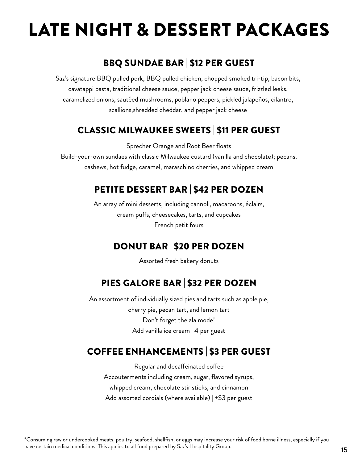# LATE NIGHT & DESSERT PACKAGES

## BBQ SUNDAE BAR | \$12 PER GUEST

Saz's signature BBQ pulled pork, BBQ pulled chicken, chopped smoked tri-tip, bacon bits, cavatappi pasta, traditional cheese sauce, pepper jack cheese sauce, frizzled leeks, caramelized onions, sautéed mushrooms, poblano peppers, pickled jalapeños, cilantro, scallions,shredded cheddar, and pepper jack cheese

## CLASSIC MILWAUKEE SWEETS | \$11 PER GUEST

Sprecher Orange and Root Beer floats Build-your-own sundaes with classic Milwaukee custard (vanilla and chocolate); pecans, cashews, hot fudge, caramel, maraschino cherries, and whipped cream

## PETITE DESSERT BAR | \$42 PER DOZEN

An array of mini desserts, including cannoli, macaroons, éclairs, cream puffs, cheesecakes, tarts, and cupcakes French petit fours

## DONUT BAR | \$20 PER DOZEN

Assorted fresh bakery donuts

## PIES GALORE BAR | \$32 PER DOZEN

An assortment of individually sized pies and tarts such as apple pie, cherry pie, pecan tart, and lemon tart Don't forget the ala mode! Add vanilla ice cream | 4 per guest

## COFFEE ENHANCEMENTS | \$3 PER GUEST

Regular and decaffeinated coffee Accouterments including cream, sugar, flavored syrups, whipped cream, chocolate stir sticks, and cinnamon Add assorted cordials (where available) | +\$3 per guest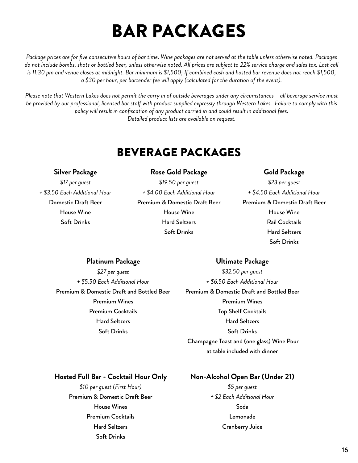## BAR PACKAGES

*Package prices are for five consecutive hours of bar time. Wine packages are not served at the table unless otherwise noted. Packages do not include bombs, shots or bottled beer, unless otherwise noted. All prices are subject to 22% service charge and sales tax. Last call is 11:30 pm and venue closes at midnight. Bar minimum is \$1,500; If combined cash and hosted bar revenue does not reach \$1,500, a \$30 per hour, per bartender fee will apply (calculated for the duration of the event).* 

*Please note that Western Lakes does not permit the carry in of outside beverages under any circumstances – all beverage service must be provided by our professional, licensed bar staff with product supplied expressly through Western Lakes. Failure to comply with this policy will result in confiscation of any product carried in and could result in additional fees. Detailed product lists are available on request.*

## BEVERAGE PACKAGES

#### **Silver Package**

*\$17 per guest + \$3.50 Each Additional Hour* Domestic Draft Beer House Wine Soft Drinks

## **Rose Gold Package** *\$19.50 per guest*

*+ \$4.00 Each Additional Hour* Premium & Domestic Draft Beer House Wine Hard Seltzers Soft Drinks

#### **Gold Package**

*\$23 per guest + \$4.50 Each Additional Hour* Premium & Domestic Draft Beer House Wine Rail Cocktails Hard Seltzers Soft Drinks

### **Platinum Package**

*\$27 per guest + \$5.50 Each Additional Hour* Premium & Domestic Draft and Bottled Beer Premium Wines Premium Cocktails Hard Seltzers Soft Drinks

#### **Ultimate Package**

*\$32.50 per guest + \$6.50 Each Additional Hour* Premium & Domestic Draft and Bottled Beer Premium Wines Top Shelf Cocktails Hard Seltzers Soft Drinks Champagne Toast and (one glass) Wine Pour at table included with dinner

#### **Hosted Full Bar - Cocktail Hour Only**

*\$10 per guest (First Hour)* Premium & Domestic Draft Beer House Wines Premium Cocktails Hard Seltzers Soft Drinks

#### **Non-Alcohol Open Bar (Under 21)**

*\$5 per guest + \$2 Each Additional Hour* Soda Lemonade Cranberry Juice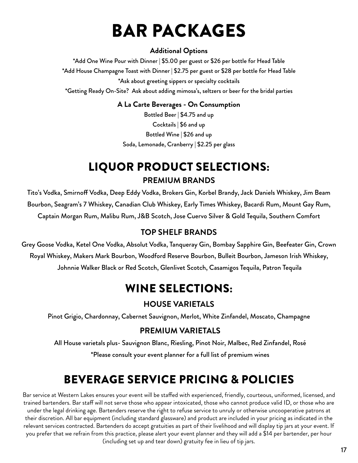## BAR PACKAGES

## **Additional Options**

\*Add One Wine Pour with Dinner | \$5.00 per guest or \$26 per bottle for Head Table \*Add House Champagne Toast with Dinner | \$2.75 per guest or \$28 per bottle for Head Table \*Ask about greeting sippers or specialty cocktails \*Getting Ready On-Site? Ask about adding mimosa's, seltzers or beer for the bridal parties

**A La Carte Beverages - On Consumption** 

Bottled Beer | \$4.75 and up Cocktails | \$6 and up Bottled Wine | \$26 and up Soda, Lemonade, Cranberry | \$2.25 per glass

## LIQUOR PRODUCT SELECTIONS: **PREMIUM BRANDS**

Tito's Vodka, Smirnoff Vodka, Deep Eddy Vodka, Brokers Gin, Korbel Brandy, Jack Daniels Whiskey, Jim Beam Bourbon, Seagram's 7 Whiskey, Canadian Club Whiskey, Early Times Whiskey, Bacardi Rum, Mount Gay Rum, Captain Morgan Rum, Malibu Rum, J&B Scotch, Jose Cuervo Silver & Gold Tequila, Southern Comfort

## **TOP SHELF BRANDS**

Grey Goose Vodka, Ketel One Vodka, Absolut Vodka, Tanqueray Gin, Bombay Sapphire Gin, Beefeater Gin, Crown Royal Whiskey, Makers Mark Bourbon, Woodford Reserve Bourbon, Bulleit Bourbon, Jameson Irish Whiskey, Johnnie Walker Black or Red Scotch, Glenlivet Scotch, Casamigos Tequila, Patron Tequila

## WINE SELECTIONS:

## **HOUSE VARIETALS**

Pinot Grigio, Chardonnay, Cabernet Sauvignon, Merlot, White Zinfandel, Moscato, Champagne

## **PREMIUM VARIETALS**

All House varietals plus- Sauvignon Blanc, Riesling, Pinot Noir, Malbec, Red Zinfandel, Rosé

\*Please consult your event planner for a full list of premium wines

## BEVERAGE SERVICE PRICING & POLICIES

Bar service at Western Lakes ensures your event will be staffed with experienced, friendly, courteous, uniformed, licensed, and trained bartenders. Bar staff will not serve those who appear intoxicated, those who cannot produce valid ID, or those who are under the legal drinking age. Bartenders reserve the right to refuse service to unruly or otherwise uncooperative patrons at their discretion. All bar equipment (including standard glassware) and product are included in your pricing as indicated in the relevant services contracted. Bartenders do accept gratuities as part of their livelihood and will display tip jars at your event. If you prefer that we refrain from this practice, please alert your event planner and they will add a \$14 per bartender, per hour (including set up and tear down) gratuity fee in lieu of tip jars.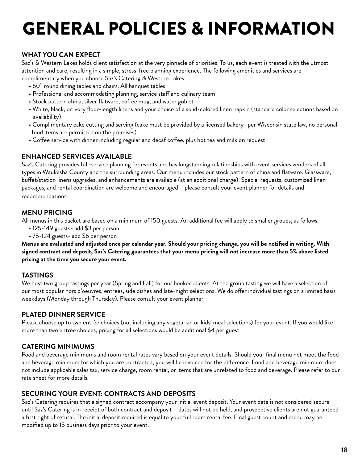# GENERAL POLICIES & INFORMATION

### **WHAT YOU CAN EXPECT**

Saz's & Western Lakes holds client satisfaction at the very pinnacle of priorities. To us, each event is treated with the utmost attention and care, resulting in a simple, stress-free planning experience. The following amenities and services are complimentary when you choose Saz's Catering & Western Lakes:

- 60" round dining tables and chairs. All banquet tables
- Professional and accommodating planning, service staff and culinary team
- Stock pattern china, silver flatware, coffee mug, and water goblet
- White, black, or ivory floor-length linens and your choice of a solid-colored linen napkin (standard color selections based on availability)
- Complimentary cake cutting and serving (cake must be provided by a licensed bakery -per Wisconsin state law, no personal food items are permitted on the premises)
- Coffee service with dinner including regular and decaf coffee, plus hot tea and milk on request

#### **ENHANCED SERVICES AVAILABLE**

Saz's Catering provides full-service planning for events and has longstanding relationships with event services vendors of all types in Waukesha County and the surrounding areas. Our menu includes our stock pattern of china and flatware. Glassware, buffet/station linens upgrades, and enhancements are available (at an additional charge). Special requests, customized linen packages, and rental coordination are welcome and encouraged – please consult your event planner for details and recommendations.

#### **MENU PRICING**

All menus in this packet are based on a minimum of 150 guests. An additional fee will apply to smaller groups, as follows.

- 125-149 guests- add \$3 per person
- 75-124 guests- add \$6 per person

**Menus are evaluated and adjusted once per calendar year. Should your pricing change, you will be notified in writing. With signed contract and deposit, Saz's Catering guarantees that your menu pricing will not increase more than 5% above listed pricing at the time you secure your event.**

### **TASTINGS**

We host two group tastings per year (Spring and Fall) for our booked clients. At the group tasting we will have a selection of our most popular hors d'oeuvres, entrees, side dishes and late-night selections. We do offer individual tastings on a limited basis weekdays (Monday through Thursday). Please consult your event planner.

### **PLATED DINNER SERVICE**

Please choose up to two entrée choices (not including any vegetarian or kids' meal selections) for your event. If you would like more than two entrée choices, pricing for all selections would be additional \$4 per guest.

### **CATERING MINIMUMS**

Food and beverage minimums and room rental rates vary based on your event details. Should your final menu not meet the food and beverage minimum for which you are contracted, you will be invoiced for the difference. Food and beverage minimum does not include applicable sales tax, service charge, room rental, or items that are unrelated to food and beverage. Please refer to our rate sheet for more details.

### **SECURING YOUR EVENT: CONTRACTS AND DEPOSITS**

Saz's Catering requires that a signed contract accompany your initial event deposit. Your event date is not considered secure until Saz's Catering is in receipt of both contract and deposit – dates will not be held, and prospective clients are not guaranteed a first right of refusal. The initial deposit required is equal to your full room rental fee. Final guest count and menu may be modified up to 15 business days prior to your event.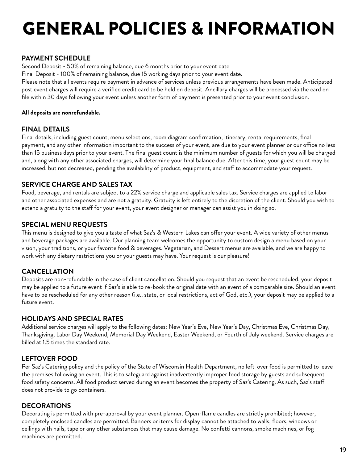# GENERAL POLICIES & INFORMATION

## **PAYMENT SCHEDULE**

Second Deposit - 50% of remaining balance, due 6 months prior to your event date

Final Deposit - 100% of remaining balance, due 15 working days prior to your event date.

Please note that all events require payment in advance of services unless previous arrangements have been made. Anticipated post event charges will require a verified credit card to be held on deposit. Ancillary charges will be processed via the card on file within 30 days following your event unless another form of payment is presented prior to your event conclusion.

#### **All deposits are nonrefundable.**

### **FINAL DETAILS**

Final details, including guest count, menu selections, room diagram confirmation, itinerary, rental requirements, final payment, and any other information important to the success of your event, are due to your event planner or our office no less than 15 business days prior to your event. The final guest count is the minimum number of guests for which you will be charged and, along with any other associated charges, will determine your final balance due. After this time, your guest count may be increased, but not decreased, pending the availability of product, equipment, and staff to accommodate your request.

### **SERVICE CHARGE AND SALES TAX**

Food, beverage, and rentals are subject to a 22% service charge and applicable sales tax. Service charges are applied to labor and other associated expenses and are not a gratuity. Gratuity is left entirely to the discretion of the client. Should you wish to extend a gratuity to the staff for your event, your event designer or manager can assist you in doing so.

#### **SPECIAL MENU REQUESTS**

This menu is designed to give you a taste of what Saz's & Western Lakes can offer your event. A wide variety of other menus and beverage packages are available. Our planning team welcomes the opportunity to custom design a menu based on your vision, your traditions, or your favorite food & beverages. Vegetarian, and Dessert menus are available, and we are happy to work with any dietary restrictions you or your guests may have. Your request is our pleasure!

### **CANCELLATION**

Deposits are non-refundable in the case of client cancellation. Should you request that an event be rescheduled, your deposit may be applied to a future event if Saz's is able to re-book the original date with an event of a comparable size. Should an event have to be rescheduled for any other reason (i.e., state, or local restrictions, act of God, etc.), your deposit may be applied to a future event.

### **HOLIDAYS AND SPECIAL RATES**

Additional service charges will apply to the following dates: New Year's Eve, New Year's Day, Christmas Eve, Christmas Day, Thanksgiving, Labor Day Weekend, Memorial Day Weekend, Easter Weekend, or Fourth of July weekend. Service charges are billed at 1.5 times the standard rate.

### **LEFTOVER FOOD**

Per Saz's Catering policy and the policy of the State of Wisconsin Health Department, no left-over food is permitted to leave the premises following an event. This is to safeguard against inadvertently improper food storage by guests and subsequent food safety concerns. All food product served during an event becomes the property of Saz's Catering. As such, Saz's staff does not provide to go containers.

### **DECORATIONS**

Decorating is permitted with pre-approval by your event planner. Open-flame candles are strictly prohibited; however, completely enclosed candles are permitted. Banners or items for display cannot be attached to walls, floors, windows or ceilings with nails, tape or any other substances that may cause damage. No confetti cannons, smoke machines, or fog machines are permitted.